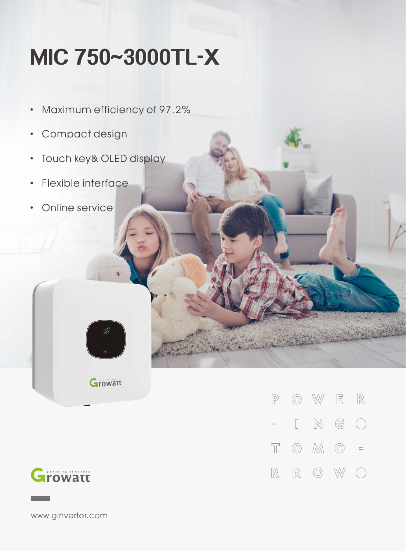## **MIC750~3000TL-X**

- · Maximum efficiency of 97.2%
- · Compact design
- · Touch key& OLED display
- · Flexible interface
- Online service



Growatt



 $\circledcirc$  W  $\begin{tabular}{|c|c|c|c|} \hline \quad & \quad \quad & \quad \quad & \quad \quad & \quad \quad \\ \hline \quad \quad & \quad \quad & \quad \quad & \quad \quad & \quad \quad \\ \hline \end{tabular}$  $\mathbb P$  $\begin{bmatrix} 1 & 1 \\ 1 & 1 \end{bmatrix}$  $\mathbb N$  $\mathbb{G}$  $\Box$  $\left(\begin{array}{c}\right)$  $\overline{\mathbb{T}}$  $\circledcirc$   $\mathbb{M}$   $\circlearrowright$  =  $\mathbb{R}$  $\circledcirc$  $\mathbb{R}$ W

www.ginverter.com